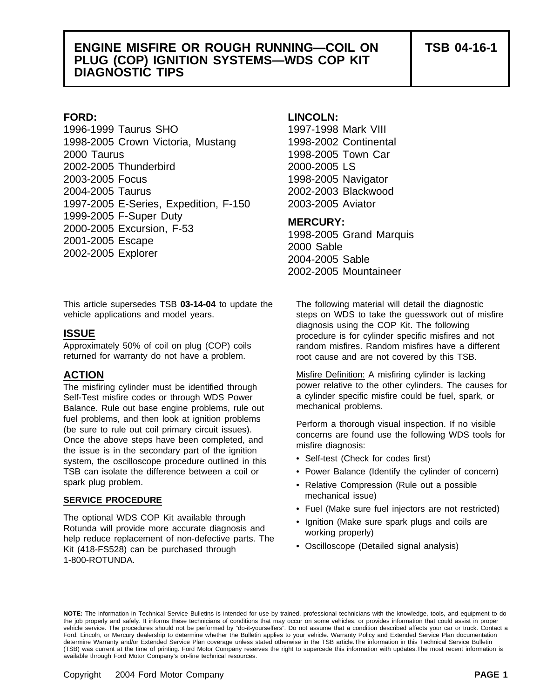## **ENGINE MISFIRE OR ROUGH RUNNING—COIL ON TSB 04-16-1 PLUG (COP) IGNITION SYSTEMS—WDS COP KIT DIAGNOSTIC TIPS**

1996-1999 Taurus SHO 1997-1998 Mark VIII 1998-2005 Crown Victoria, Mustang 1998-2002 Continental 2000 Taurus 1998-2005 Town Car 2002-2005 Thunderbird 2000-2005 LS 2003-2005 Focus 1998-2005 Navigator 2004-2005 Taurus 2002-2003 Blackwood 1997-2005 E-Series, Expedition, F-150 2003-2005 Aviator 1999-2005 F-Super Duty<br>2000-2005 Excursion, F-53 1998-2005 Grand Marquis<br>2001-2005 Escape 2000 Sable 2002-2005 Explorer 2004-2005 Sable

## **FORD: LINCOLN:**

2002-2005 Mountaineer

This article supersedes TSB **03-14-04** to update the The following material will detail the diagnostic vehicle applications and model years. steps on WDS to take the guesswork out of misfire

returned for warranty do not have a problem. The root cause and are not covered by this TSB.

Self-Test misfire codes or through WDS Power a cylinder specific mis<br>Balance, Rule out base engine problems, rule out mechanical problems. Balance. Rule out base engine problems, rule out fuel problems, and then look at ignition problems<br>
(be sure to rule out coil primary circuit issues).<br>
Once the above steps have been completed, and<br>
the issue is in the secondary part of the ignition<br>
the issue is in the system, the oscilloscope procedure outlined in this TSB can isolate the difference between a coil or • Power Balance (Identify the cylinder of concern) spark plug problem.

## mechanical issue) **SERVICE PROCEDURE**

The optional WDS COP Kit available through • Ignition (Make sure spark plugs and coils are Rotunda will provide more accurate diagnosis and working properly) help reduce replacement of non-defective parts. The Kit (418-FS528) can be purchased through 1-800-ROTUNDA.

diagnosis using the COP Kit. The following **ISSUE** procedure is for cylinder specific misfires and not Approximately 50% of coil on plug (COP) coils random misfires. Random misfires have a different

**ACTION Misfire Definition:** A misfiring cylinder is lacking The misfiring cylinder must be identified through power relative to the other cylinders. The causes for<br>Self-Test misfire codes or through WDS Power a cylinder specific misfire could be fuel, spark, or

- Self-test (Check for codes first)
- 
- Relative Compression (Rule out a possible
- Fuel (Make sure fuel injectors are not restricted)
- 
- Oscilloscope (Detailed signal analysis)

**NOTE:** The information in Technical Service Bulletins is intended for use by trained, professional technicians with the knowledge, tools, and equipment to do the job properly and safely. It informs these technicians of conditions that may occur on some vehicles, or provides information that could assist in proper<br>vehicle service. The procedures should not be performed by "do-it Ford, Lincoln, or Mercury dealership to determine whether the Bulletin applies to your vehicle. Warranty Policy and Extended Service Plan documentation determine Warranty and/or Extended Service Plan coverage unless stated otherwise in the TSB article.The information in this Technical Service Bulletin (TSB) was current at the time of printing. Ford Motor Company reserves the right to supercede this information with updates.The most recent information is available through Ford Motor Company's on-line technical resources.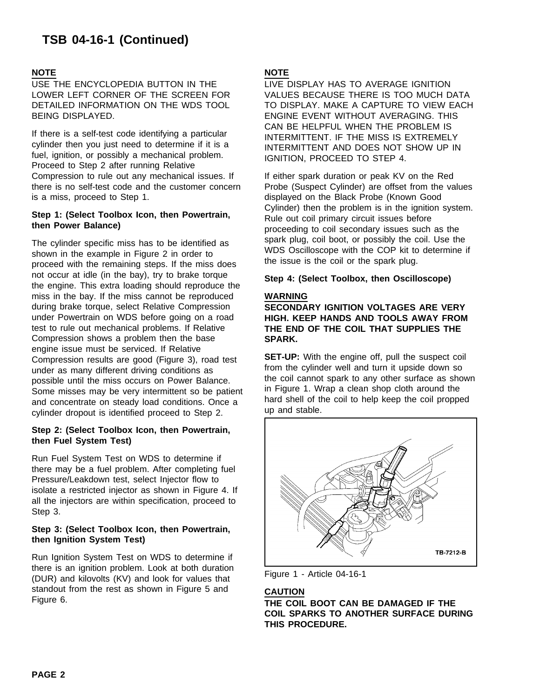USE THE ENCYCLOPEDIA BUTTON IN THE LIVE DISPLAY HAS TO AVERAGE IGNITION BEING DISPLAYED. THIS THE SERVICE OF THE SERVICE EVENT WITHOUT AVERAGING. THIS

If there is a self-test code identifying a particular  $\frac{1}{2}$  INTERMITTENT. IF THE MISS IS EXTREMELY cylinder then you just need to determine if it is a fuel, ignition, or possibly a mechanical problem.<br>
IGNITION, PROCEED TO STEP 4.<br>
Proceed to Step 2 after running Relative Compression to rule out any mechanical issues. If If either spark duration or peak KV on the Red there is no self-test code and the customer concern Probe (Suspect Cylinder) are offset from the values is a miss, proceed to Step 1. displayed on the Black Probe (Known Good

The cylinder specific miss has to be identified as<br>shown in the example in Figure 2 in order to<br>proceed with the remaining steps. If the miss does the issue is the coil or the spark plug. not occur at idle (in the bay), try to brake torque **Step 4: (Select Toolbox, then Oscilloscope)** the engine. This extra loading should reproduce the miss in the bay. If the miss cannot be reproduced **WARNING** during brake torque, select Relative Compression **SECONDARY IGNITION VOLTAGES ARE VERY** under Powertrain on WDS before going on a road **HIGH. KEEP HANDS AND TOOLS AWAY FROM** test to rule out mechanical problems. If Relative **THE END OF THE COIL THAT SUPPLIES THE** Compression shows a problem then the base **SPARK.** engine issue must be serviced. If Relative Compression results are good (Figure 3), road test **SET-UP:** With the engine off, pull the suspect coil<br>under as many different driving conditions as from the cylinder well and turn it upside down so If the cylinder well and turn it upside down so under as many different driving conditions as under the coil cannot spark to any other surface as shown possible until the miss occurs on Power Balance.<br>Some misses may be ve Some misses may be very intermittent so be patient in Figure 1. Wrap a clean shop cloth around the<br>and concentrate on steady load conditions. Once a statural hard shell of the coil to help keep the coil propped and concentrate on steady load conditions. Once a up and shell of the cylinder dropout is identified proceed to Step 2.

## **Step 2: (Select Toolbox Icon, then Powertrain, then Fuel System Test)**

Run Fuel System Test on WDS to determine if there may be a fuel problem. After completing fuel Pressure/Leakdown test, select Injector flow to isolate a restricted injector as shown in Figure 4. If all the injectors are within specification, proceed to Step 3.

## **Step 3: (Select Toolbox Icon, then Powertrain, then Ignition System Test)**

Run Ignition System Test on WDS to determine if there is an ignition problem. Look at both duration<br>(DUR) and kilovolts (KV) and look for values that Figure 1 - Article 04-16-1 standout from the rest as shown in Figure 5 and **CAUTION**

## **NOTE NOTE**

LOWER LEFT CORNER OF THE SCREEN FOR VALUES BECAUSE THERE IS TOO MUCH DATA DETAILED INFORMATION ON THE WDS TOOL TO DISPLAY. MAKE A CAPTURE TO VIEW EACH CAN BE HELPFUL WHEN THE PROBLEM IS INTERMITTENT AND DOES NOT SHOW UP IN

Step 1: (Select Toolbox Icon, then Powertrain,<br>
then Power Balance) then Powertrain,<br>
Fule out coil primary circuit issues before<br>
proceeding to coil secondary issues such as the



Figure 6. **THE COIL BOOT CAN BE DAMAGED IF THE COIL SPARKS TO ANOTHER SURFACE DURING THIS PROCEDURE.**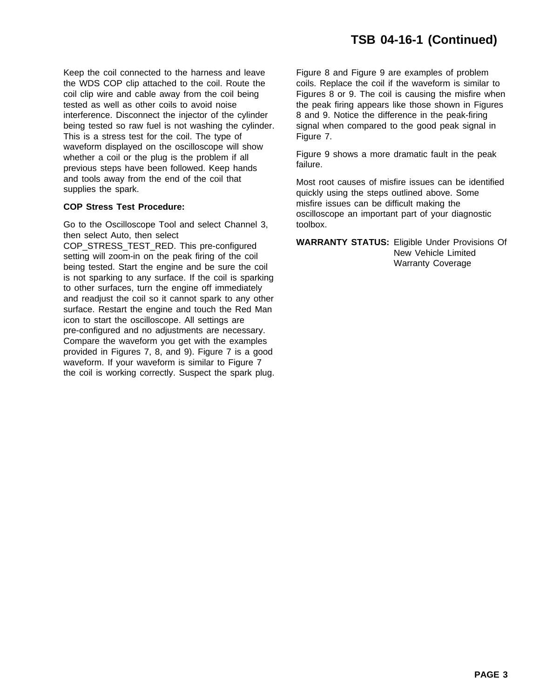Keep the coil connected to the harness and leave Figure 8 and Figure 9 are examples of problem the WDS COP clip attached to the coil. Route the coils. Replace the coil if the waveform is similar to coil clip wire and cable away from the coil being Figures 8 or 9. The coil is causing the misfire when tested as well as other coils to avoid noise the peak firing appears like those shown in Figures interference. Disconnect the injector of the cylinder 8 and 9. Notice the difference in the peak-firing being tested so raw fuel is not washing the cylinder. signal when compared to the good peak signal in This is a stress test for the coil. The type of Figure 7. waveform displayed on the oscilloscope will show<br>whether a coil or the plug is the problem if all Figure 9 shows a more dramatic fault in the peak<br>previous steps have been followed. Keep hands failure. and tools away from the end of the coil that Most root causes of misfire issues can be identified<br>supplies the spark.

Go to the Oscilloscope Tool and select Channel 3, toolbox.

then select Auto, then select<br>
COP\_STRESS\_TEST\_RED. This pre-configured<br>
setting will zoom-in on the peak firing of the coil<br>
being tested. Start the engine and be sure the coil<br>
Deing tested. Start the engine and be sure is not sparking to any surface. If the coil is sparking to other surfaces, turn the engine off immediately and readjust the coil so it cannot spark to any other surface. Restart the engine and touch the Red Man icon to start the oscilloscope. All settings are pre-configured and no adjustments are necessary. Compare the waveform you get with the examples provided in Figures 7, 8, and 9). Figure 7 is a good waveform. If your waveform is similar to Figure 7 the coil is working correctly. Suspect the spark plug.

quickly using the steps outlined above. Some misfire issues can be difficult making the **COP Stress Test Procedure:** oscilloscope an important part of your diagnostic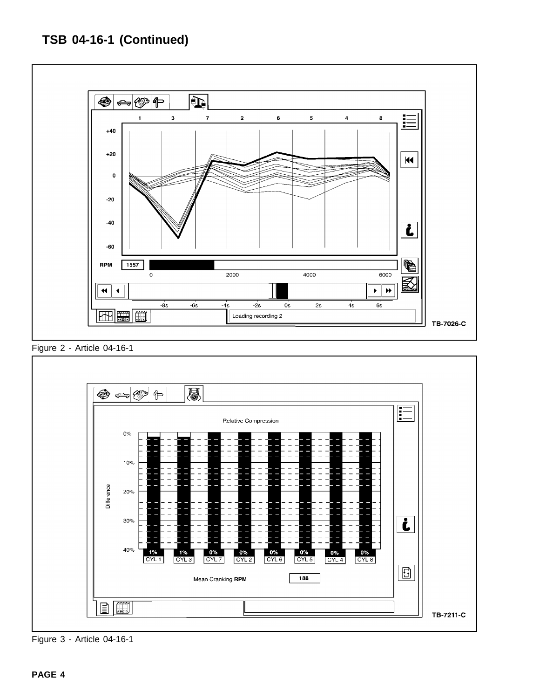

Figure 2 - Article 04-16-1



Figure 3 - Article 04-16-1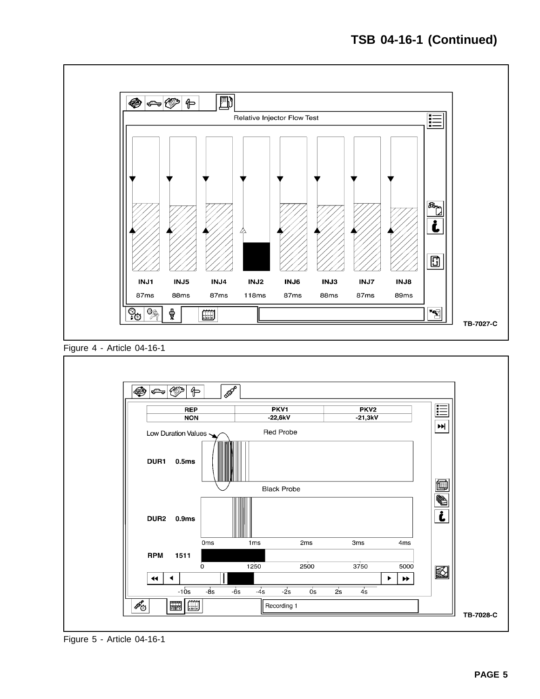





Figure 5 - Article 04-16-1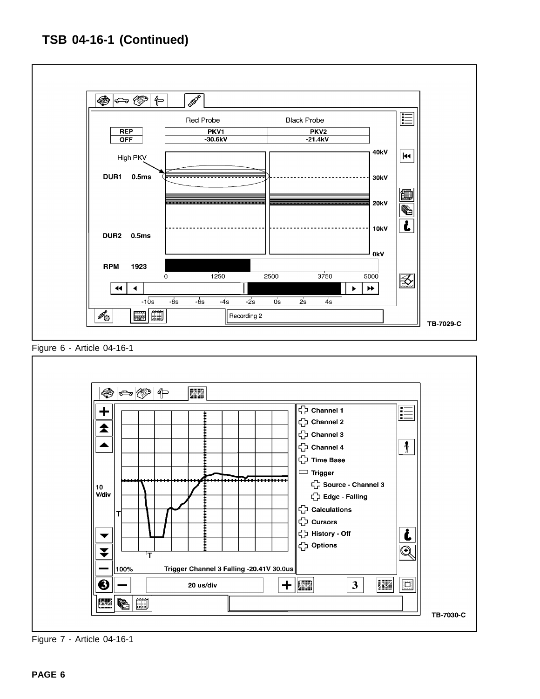

Figure 7 - Article 04-16-1